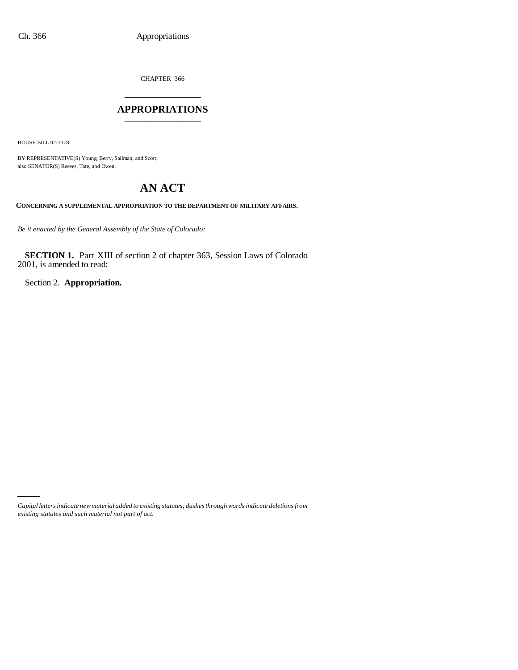CHAPTER 366 \_\_\_\_\_\_\_\_\_\_\_\_\_\_\_

### **APPROPRIATIONS** \_\_\_\_\_\_\_\_\_\_\_\_\_\_\_

HOUSE BILL 02-1378

BY REPRESENTATIVE(S) Young, Berry, Saliman, and Scott; also SENATOR(S) Reeves, Tate, and Owen.

# **AN ACT**

**CONCERNING A SUPPLEMENTAL APPROPRIATION TO THE DEPARTMENT OF MILITARY AFFAIRS.**

*Be it enacted by the General Assembly of the State of Colorado:*

**SECTION 1.** Part XIII of section 2 of chapter 363, Session Laws of Colorado 2001, is amended to read:

Section 2. **Appropriation.**

*Capital letters indicate new material added to existing statutes; dashes through words indicate deletions from existing statutes and such material not part of act.*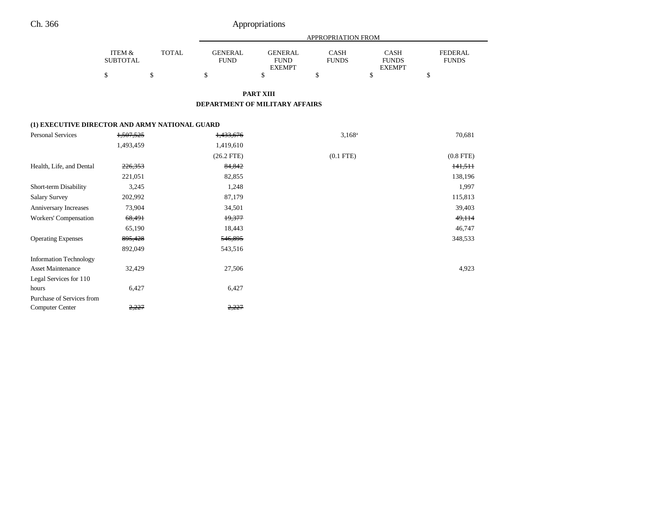## Ch. 366 Appropriations

|                 |       |                | APPROPRIATION FROM |              |               |              |  |  |  |
|-----------------|-------|----------------|--------------------|--------------|---------------|--------------|--|--|--|
| ITEM &          | TOTAL | <b>GENERAL</b> | GENERAL            | CASH         | <b>CASH</b>   | FEDERAL      |  |  |  |
| <b>SUBTOTAL</b> |       | FUND           | <b>FUND</b>        | <b>FUNDS</b> | <b>FUNDS</b>  | <b>FUNDS</b> |  |  |  |
|                 |       |                | <b>EXEMPT</b>      |              | <b>EXEMPT</b> |              |  |  |  |
|                 |       |                |                    |              |               |              |  |  |  |

**PART XIII**

#### **DEPARTMENT OF MILITARY AFFAIRS**

#### **(1) EXECUTIVE DIRECTOR AND ARMY NATIONAL GUARD**

| <b>Personal Services</b>      | 1,507,525 | 1,433,676    | $3,168^a$   | 70,681         |
|-------------------------------|-----------|--------------|-------------|----------------|
|                               | 1,493,459 | 1,419,610    |             |                |
|                               |           | $(26.2$ FTE) | $(0.1$ FTE) | $(0.8$ FTE $)$ |
| Health, Life, and Dental      | 226,353   | 84,842       |             | 141,511        |
|                               | 221,051   | 82,855       |             | 138,196        |
| Short-term Disability         | 3,245     | 1,248        |             | 1,997          |
| <b>Salary Survey</b>          | 202,992   | 87,179       |             | 115,813        |
| Anniversary Increases         | 73,904    | 34,501       |             | 39,403         |
| Workers' Compensation         | 68,491    | 19,377       |             | 49,114         |
|                               | 65,190    | 18,443       |             | 46,747         |
| <b>Operating Expenses</b>     | 895,428   | 546,895      |             | 348,533        |
|                               | 892,049   | 543,516      |             |                |
| <b>Information Technology</b> |           |              |             |                |
| <b>Asset Maintenance</b>      | 32,429    | 27,506       |             | 4,923          |
| Legal Services for 110        |           |              |             |                |
| hours                         | 6,427     | 6,427        |             |                |
| Purchase of Services from     |           |              |             |                |
| <b>Computer Center</b>        | 2,227     | 2,227        |             |                |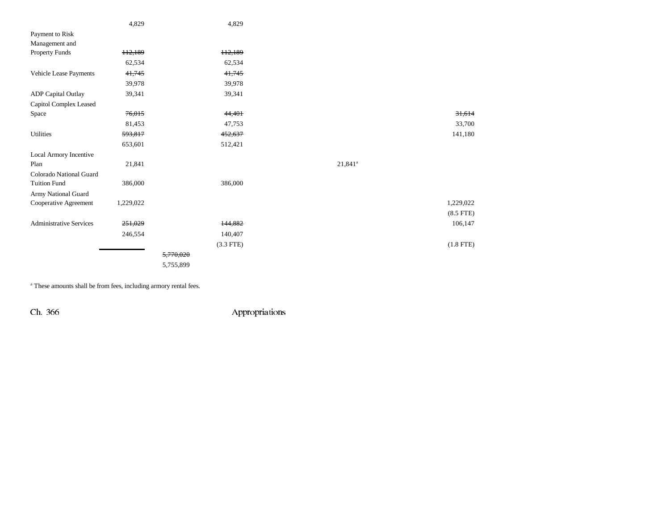|                                | 4,829               | 4,829       |            |                |
|--------------------------------|---------------------|-------------|------------|----------------|
| Payment to Risk                |                     |             |            |                |
| Management and                 |                     |             |            |                |
| <b>Property Funds</b>          | H <sub>2</sub> ,189 | 112,189     |            |                |
|                                | 62,534              | 62,534      |            |                |
| Vehicle Lease Payments         | 41,745              | 41,745      |            |                |
|                                | 39,978              | 39,978      |            |                |
| <b>ADP</b> Capital Outlay      | 39,341              | 39,341      |            |                |
| Capitol Complex Leased         |                     |             |            |                |
| Space                          | 76,015              | 44,401      |            | 31,614         |
|                                | 81,453              | 47,753      |            | 33,700         |
| <b>Utilities</b>               | 593,817             | 452,637     |            | 141,180        |
|                                | 653,601             | 512,421     |            |                |
| Local Armory Incentive         |                     |             |            |                |
| Plan                           | 21,841              |             | $21,841^a$ |                |
| Colorado National Guard        |                     |             |            |                |
| <b>Tuition Fund</b>            | 386,000             | 386,000     |            |                |
| Army National Guard            |                     |             |            |                |
| Cooperative Agreement          | 1,229,022           |             |            | 1,229,022      |
|                                |                     |             |            | $(8.5$ FTE $)$ |
| <b>Administrative Services</b> | 251,029             | 144,882     |            | 106,147        |
|                                | 246,554             | 140,407     |            |                |
|                                |                     | $(3.3$ FTE) |            | $(1.8$ FTE)    |
|                                |                     | 5,770,020   |            |                |
|                                |                     | 5,755,899   |            |                |
|                                |                     |             |            |                |

a These amounts shall be from fees, including armory rental fees.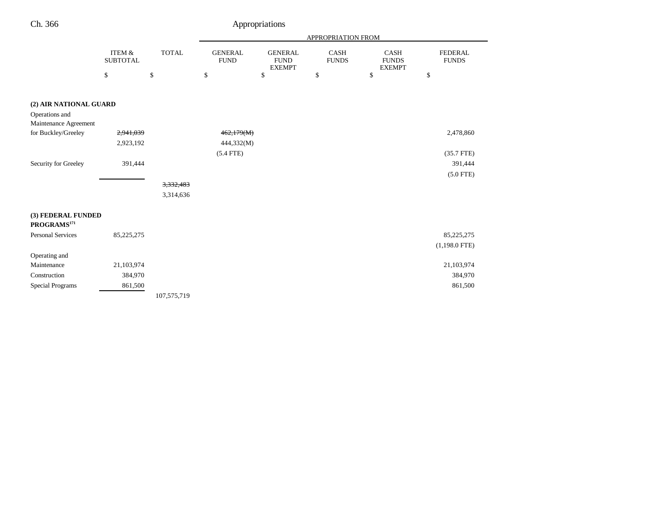| h. 366 |  |
|--------|--|
|        |  |

|                                               |                           |              |                               |                                                | APPROPRIATION FROM          |                                              |                                |
|-----------------------------------------------|---------------------------|--------------|-------------------------------|------------------------------------------------|-----------------------------|----------------------------------------------|--------------------------------|
|                                               | ITEM &<br><b>SUBTOTAL</b> | <b>TOTAL</b> | <b>GENERAL</b><br><b>FUND</b> | <b>GENERAL</b><br><b>FUND</b><br><b>EXEMPT</b> | <b>CASH</b><br><b>FUNDS</b> | <b>CASH</b><br><b>FUNDS</b><br><b>EXEMPT</b> | <b>FEDERAL</b><br><b>FUNDS</b> |
|                                               | \$                        | \$           | \$                            | $\$$                                           | \$                          | \$                                           | \$                             |
|                                               |                           |              |                               |                                                |                             |                                              |                                |
| (2) AIR NATIONAL GUARD                        |                           |              |                               |                                                |                             |                                              |                                |
| Operations and                                |                           |              |                               |                                                |                             |                                              |                                |
| Maintenance Agreement                         |                           |              |                               |                                                |                             |                                              |                                |
| for Buckley/Greeley                           | 2,941,039                 |              | 462,179(M)                    |                                                |                             |                                              | 2,478,860                      |
|                                               | 2,923,192                 |              | 444,332(M)                    |                                                |                             |                                              |                                |
|                                               |                           |              | $(5.4$ FTE)                   |                                                |                             |                                              | $(35.7$ FTE)                   |
| Security for Greeley                          | 391,444                   |              |                               |                                                |                             |                                              | 391,444                        |
|                                               |                           |              |                               |                                                |                             |                                              | $(5.0$ FTE)                    |
|                                               |                           | 3,332,483    |                               |                                                |                             |                                              |                                |
|                                               |                           | 3,314,636    |                               |                                                |                             |                                              |                                |
|                                               |                           |              |                               |                                                |                             |                                              |                                |
| (3) FEDERAL FUNDED<br>PROGRAMS <sup>171</sup> |                           |              |                               |                                                |                             |                                              |                                |
| <b>Personal Services</b>                      | 85,225,275                |              |                               |                                                |                             |                                              | 85,225,275                     |
|                                               |                           |              |                               |                                                |                             |                                              | $(1,198.0$ FTE)                |
| Operating and                                 |                           |              |                               |                                                |                             |                                              |                                |
| Maintenance                                   | 21,103,974                |              |                               |                                                |                             |                                              | 21,103,974                     |
| Construction                                  | 384,970                   |              |                               |                                                |                             |                                              | 384,970                        |
| Special Programs                              | 861,500                   |              |                               |                                                |                             |                                              | 861,500                        |
|                                               |                           | 107,575,719  |                               |                                                |                             |                                              |                                |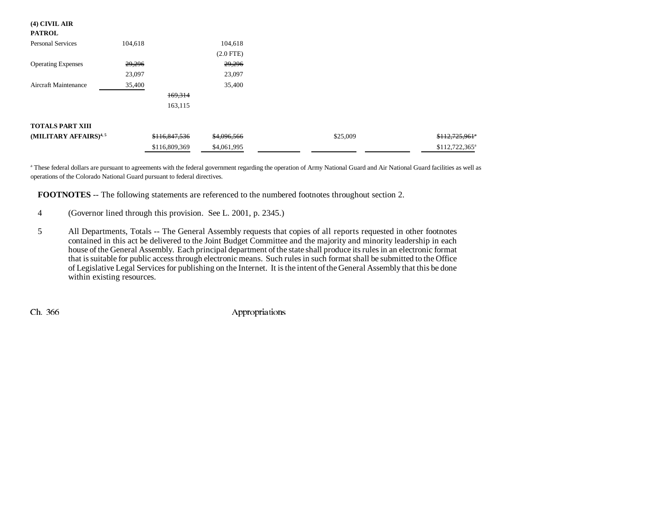#### **(4) CIVIL AIR**

| PATROL |  |  |
|--------|--|--|
|--------|--|--|

| <b>Personal Services</b>          | 104,618       | 104,618        |          |                            |
|-----------------------------------|---------------|----------------|----------|----------------------------|
|                                   |               | $(2.0$ FTE $)$ |          |                            |
| <b>Operating Expenses</b>         | 29,296        | 29,296         |          |                            |
|                                   | 23,097        | 23,097         |          |                            |
| <b>Aircraft Maintenance</b>       | 35,400        | 35,400         |          |                            |
|                                   | 169,314       |                |          |                            |
|                                   | 163,115       |                |          |                            |
|                                   |               |                |          |                            |
| <b>TOTALS PART XIII</b>           |               |                |          |                            |
| (MILITARY AFFAIRS) <sup>4,5</sup> | \$116,847,536 | \$4,096,566    | \$25,009 | \$112,725,961"             |
|                                   | \$116,809,369 | \$4,061,995    |          | \$112,722,365 <sup>a</sup> |

<sup>a</sup> These federal dollars are pursuant to agreements with the federal government regarding the operation of Army National Guard and Air National Guard facilities as well as operations of the Colorado National Guard pursuant to federal directives.

**FOOTNOTES** -- The following statements are referenced to the numbered footnotes throughout section 2.

4 (Governor lined through this provision. See L. 2001, p. 2345.)

5 All Departments, Totals -- The General Assembly requests that copies of all reports requested in other footnotes contained in this act be delivered to the Joint Budget Committee and the majority and minority leadership in each house of the General Assembly. Each principal department of the state shall produce its rules in an electronic format that is suitable for public access through electronic means. Such rules in such format shall be submitted to the Office of Legislative Legal Services for publishing on the Internet. It is the intent of the General Assembly that this be done within existing resources.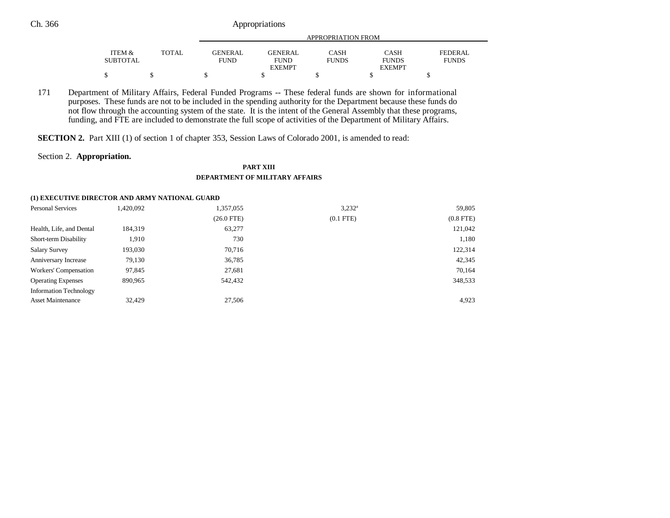### Ch. 366 Appropriations

|                 |       |             | APPROPRIATION FROM |              |               |              |  |  |
|-----------------|-------|-------------|--------------------|--------------|---------------|--------------|--|--|
|                 |       |             |                    |              |               |              |  |  |
| ITEM &          | TOTAL | GENERAL     | <b>GENERAL</b>     | CASH         | <b>CASH</b>   | FEDERAL      |  |  |
| <b>SUBTOTAL</b> |       | <b>FUND</b> | <b>FUND</b>        | <b>FUNDS</b> | <b>FUNDS</b>  | <b>FUNDS</b> |  |  |
|                 |       |             | <b>EXEMPT</b>      |              | <b>EXEMPT</b> |              |  |  |
| D               |       |             |                    |              |               |              |  |  |

171 Department of Military Affairs, Federal Funded Programs -- These federal funds are shown for informational purposes. These funds are not to be included in the spending authority for the Department because these funds do not flow through the accounting system of the state. It is the intent of the General Assembly that these programs, funding, and FTE are included to demonstrate the full scope of activities of the Department of Military Affairs.

**SECTION 2.** Part XIII (1) of section 1 of chapter 353, Session Laws of Colorado 2001, is amended to read:

#### Section 2. **Appropriation.**

#### **PART XIII DEPARTMENT OF MILITARY AFFAIRS**

#### **(1) EXECUTIVE DIRECTOR AND ARMY NATIONAL GUARD**

| <b>Personal Services</b>      | 1,420,092 | 1,357,055    | $3,232^a$      | 59,805         |
|-------------------------------|-----------|--------------|----------------|----------------|
|                               |           | $(26.0$ FTE) | $(0.1$ FTE $)$ | $(0.8$ FTE $)$ |
| Health, Life, and Dental      | 184,319   | 63,277       |                | 121,042        |
| Short-term Disability         | 1,910     | 730          |                | 1,180          |
| <b>Salary Survey</b>          | 193,030   | 70,716       |                | 122,314        |
| Anniversary Increase          | 79,130    | 36,785       |                | 42,345         |
| Workers' Compensation         | 97,845    | 27,681       |                | 70,164         |
| <b>Operating Expenses</b>     | 890,965   | 542,432      |                | 348,533        |
| <b>Information Technology</b> |           |              |                |                |
| <b>Asset Maintenance</b>      | 32,429    | 27,506       |                | 4,923          |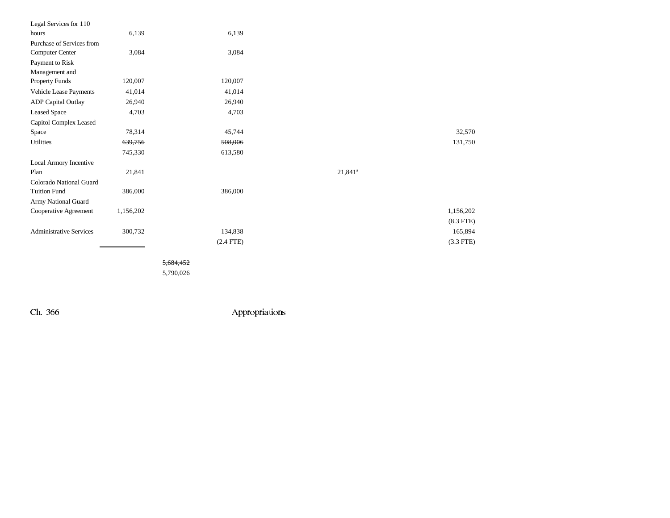| Legal Services for 110         |           |             |                       |             |
|--------------------------------|-----------|-------------|-----------------------|-------------|
| hours                          | 6,139     | 6,139       |                       |             |
| Purchase of Services from      |           |             |                       |             |
| Computer Center                | 3,084     | 3,084       |                       |             |
| Payment to Risk                |           |             |                       |             |
| Management and                 |           |             |                       |             |
| Property Funds                 | 120,007   | 120,007     |                       |             |
| Vehicle Lease Payments         | 41,014    | 41,014      |                       |             |
| <b>ADP</b> Capital Outlay      | 26,940    | 26,940      |                       |             |
| <b>Leased Space</b>            | 4,703     | 4,703       |                       |             |
| Capitol Complex Leased         |           |             |                       |             |
| Space                          | 78,314    | 45,744      |                       | 32,570      |
| Utilities                      | 639,756   | 508,006     |                       | 131,750     |
|                                | 745,330   | 613,580     |                       |             |
| Local Armory Incentive         |           |             |                       |             |
| Plan                           | 21,841    |             | $21,841$ <sup>a</sup> |             |
| Colorado National Guard        |           |             |                       |             |
| <b>Tuition Fund</b>            | 386,000   | 386,000     |                       |             |
| Army National Guard            |           |             |                       |             |
| Cooperative Agreement          | 1,156,202 |             |                       | 1,156,202   |
|                                |           |             |                       | $(8.3$ FTE) |
| <b>Administrative Services</b> | 300,732   | 134,838     |                       | 165,894     |
|                                |           | $(2.4$ FTE) |                       | $(3.3$ FTE) |
|                                |           |             |                       |             |

5,684,452

5,790,026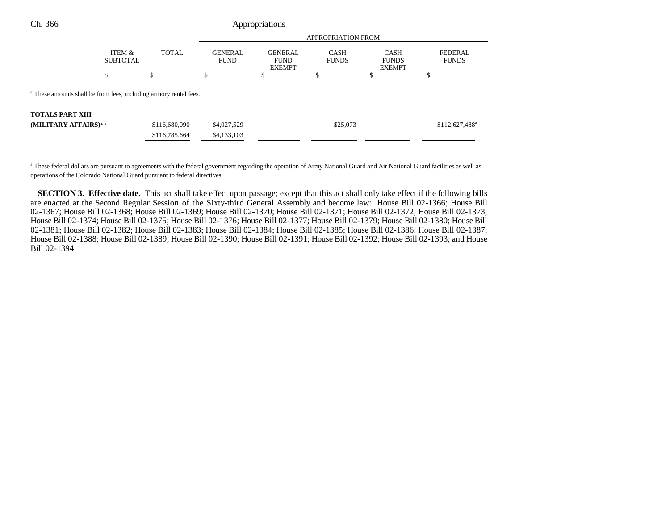| Ch. 366 | Appropriations |
|---------|----------------|
|---------|----------------|

|                                                                              | <b>APPROPRIATION FROM</b> |               |                               |                                                |                             |                                              |                                |
|------------------------------------------------------------------------------|---------------------------|---------------|-------------------------------|------------------------------------------------|-----------------------------|----------------------------------------------|--------------------------------|
|                                                                              | ITEM &<br><b>SUBTOTAL</b> | <b>TOTAL</b>  | <b>GENERAL</b><br><b>FUND</b> | <b>GENERAL</b><br><b>FUND</b><br><b>EXEMPT</b> | <b>CASH</b><br><b>FUNDS</b> | <b>CASH</b><br><b>FUNDS</b><br><b>EXEMPT</b> | <b>FEDERAL</b><br><b>FUNDS</b> |
|                                                                              | \$                        | \$            | э                             | œ<br>Φ                                         | ¢<br>Φ                      | Φ                                            | œ<br>Φ                         |
| <sup>a</sup> These amounts shall be from fees, including armory rental fees. |                           |               |                               |                                                |                             |                                              |                                |
| <b>TOTALS PART XIII</b>                                                      |                           |               |                               |                                                |                             |                                              |                                |
| (MILITARY AFFAIRS) <sup>5,6</sup>                                            |                           | \$116,680,090 | \$4,027,529                   |                                                | \$25,073                    |                                              | $$112,627,488$ <sup>a</sup>    |
|                                                                              |                           | \$116,785,664 | \$4,133,103                   |                                                |                             |                                              |                                |

<sup>a</sup> These federal dollars are pursuant to agreements with the federal government regarding the operation of Army National Guard and Air National Guard facilities as well as operations of the Colorado National Guard pursuant to federal directives.

**SECTION 3. Effective date.** This act shall take effect upon passage; except that this act shall only take effect if the following bills are enacted at the Second Regular Session of the Sixty-third General Assembly and become law: House Bill 02-1366; House Bill 02-1367; House Bill 02-1368; House Bill 02-1369; House Bill 02-1370; House Bill 02-1371; House Bill 02-1372; House Bill 02-1373; House Bill 02-1374; House Bill 02-1375; House Bill 02-1376; House Bill 02-1377; House Bill 02-1379; House Bill 02-1380; House Bill 02-1381; House Bill 02-1382; House Bill 02-1383; House Bill 02-1384; House Bill 02-1385; House Bill 02-1386; House Bill 02-1387; House Bill 02-1388; House Bill 02-1389; House Bill 02-1390; House Bill 02-1391; House Bill 02-1392; House Bill 02-1393; and House Bill 02-1394.